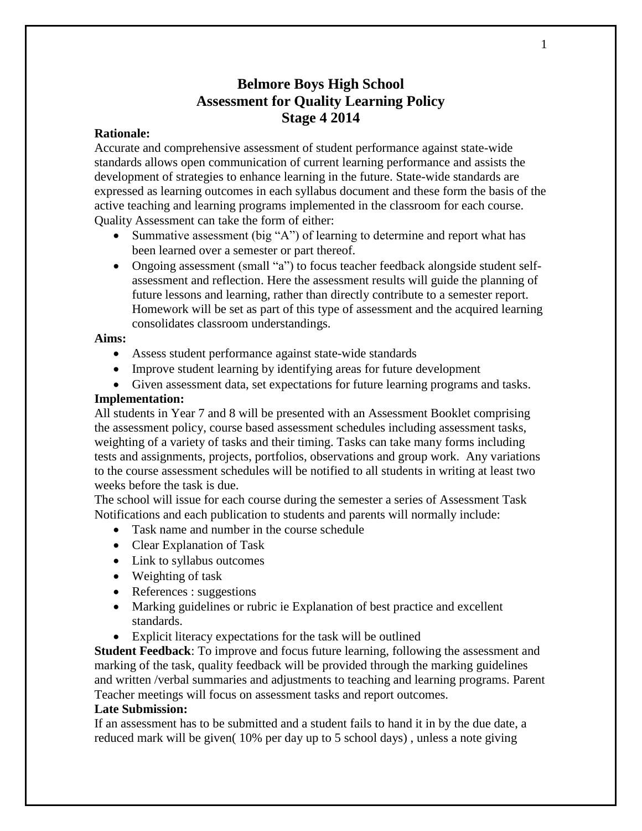# **Belmore Boys High School Assessment for Quality Learning Policy Stage 4 2014**

## **Rationale:**

Accurate and comprehensive assessment of student performance against state-wide standards allows open communication of current learning performance and assists the development of strategies to enhance learning in the future. State-wide standards are expressed as learning outcomes in each syllabus document and these form the basis of the active teaching and learning programs implemented in the classroom for each course. Quality Assessment can take the form of either:

- Summative assessment (big "A") of learning to determine and report what has been learned over a semester or part thereof.
- Ongoing assessment (small "a") to focus teacher feedback alongside student selfassessment and reflection. Here the assessment results will guide the planning of future lessons and learning, rather than directly contribute to a semester report. Homework will be set as part of this type of assessment and the acquired learning consolidates classroom understandings.

#### **Aims:**

- Assess student performance against state-wide standards
- Improve student learning by identifying areas for future development
- Given assessment data, set expectations for future learning programs and tasks.

## **Implementation:**

All students in Year 7 and 8 will be presented with an Assessment Booklet comprising the assessment policy, course based assessment schedules including assessment tasks, weighting of a variety of tasks and their timing. Tasks can take many forms including tests and assignments, projects, portfolios, observations and group work. Any variations to the course assessment schedules will be notified to all students in writing at least two weeks before the task is due.

The school will issue for each course during the semester a series of Assessment Task Notifications and each publication to students and parents will normally include:

- Task name and number in the course schedule
- Clear Explanation of Task
- Link to syllabus outcomes
- Weighting of task
- References : suggestions
- Marking guidelines or rubric ie Explanation of best practice and excellent standards.
- Explicit literacy expectations for the task will be outlined

**Student Feedback**: To improve and focus future learning, following the assessment and marking of the task, quality feedback will be provided through the marking guidelines and written /verbal summaries and adjustments to teaching and learning programs. Parent Teacher meetings will focus on assessment tasks and report outcomes.

#### **Late Submission:**

If an assessment has to be submitted and a student fails to hand it in by the due date, a reduced mark will be given( 10% per day up to 5 school days) , unless a note giving